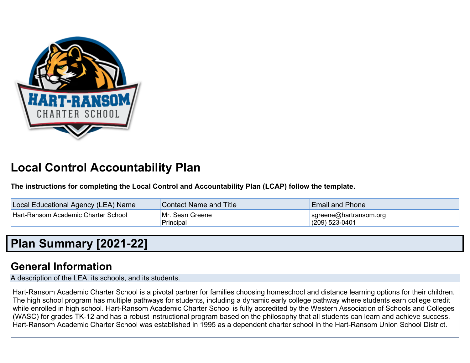

# **Local Control Accountability Plan**

**The instructions for completing the Local Control and Accountability Plan (LCAP) follow the template.**

| Local Educational Agency (LEA) Name | <b>Contact Name and Title</b> | <b>Email and Phone</b>                     |
|-------------------------------------|-------------------------------|--------------------------------------------|
| Hart-Ransom Academic Charter School | Mr. Sean Greene<br>Principal  | sgreene@hartransom.org<br>$(209)$ 523-0401 |

# **Plan Summary [2021-22]**

## **General Information**

A description of the LEA, its schools, and its students.

Hart-Ransom Academic Charter School is a pivotal partner for families choosing homeschool and distance learning options for their children. The high school program has multiple pathways for students, including a dynamic early college pathway where students earn college credit while enrolled in high school. Hart-Ransom Academic Charter School is fully accredited by the Western Association of Schools and Colleges (WASC) for grades TK-12 and has a robust instructional program based on the philosophy that all students can learn and achieve success. Hart-Ransom Academic Charter School was established in 1995 as a dependent charter school in the Hart-Ransom Union School District.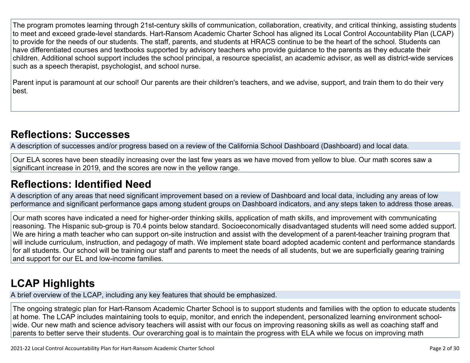The program promotes learning through 21st-century skills of communication, collaboration, creativity, and critical thinking, assisting students to meet and exceed grade-level standards. Hart-Ransom Academic Charter School has aligned its Local Control Accountability Plan (LCAP) to provide for the needs of our students. The staff, parents, and students at HRACS continue to be the heart of the school. Students can have differentiated courses and textbooks supported by advisory teachers who provide guidance to the parents as they educate their children. Additional school support includes the school principal, a resource specialist, an academic advisor, as well as district-wide services such as a speech therapist, psychologist, and school nurse.

Parent input is paramount at our school! Our parents are their children's teachers, and we advise, support, and train them to do their very best.

## **Reflections: Successes**

A description of successes and/or progress based on a review of the California School Dashboard (Dashboard) and local data.

Our ELA scores have been steadily increasing over the last few years as we have moved from yellow to blue. Our math scores saw a significant increase in 2019, and the scores are now in the yellow range.

## **Reflections: Identified Need**

A description of any areas that need significant improvement based on a review of Dashboard and local data, including any areas of low performance and significant performance gaps among student groups on Dashboard indicators, and any steps taken to address those areas.

Our math scores have indicated a need for higher-order thinking skills, application of math skills, and improvement with communicating reasoning. The Hispanic sub-group is 70.4 points below standard. Socioeconomically disadvantaged students will need some added support. We are hiring a math teacher who can support on-site instruction and assist with the development of a parent-teacher training program that will include curriculum, instruction, and pedagogy of math. We implement state board adopted academic content and performance standards for all students. Our school will be training our staff and parents to meet the needs of all students, but we are superficially gearing training and support for our EL and low-income families.

# **LCAP Highlights**

A brief overview of the LCAP, including any key features that should be emphasized.

The ongoing strategic plan for Hart-Ransom Academic Charter School is to support students and families with the option to educate students at home. The LCAP includes maintaining tools to equip, monitor, and enrich the independent, personalized learning environment schoolwide. Our new math and science advisory teachers will assist with our focus on improving reasoning skills as well as coaching staff and parents to better serve their students. Our overarching goal is to maintain the progress with ELA while we focus on improving math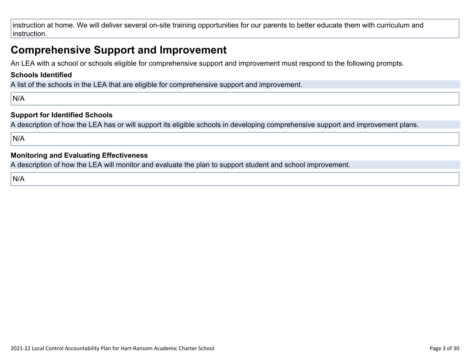instruction at home. We will deliver several on-site training opportunities for our parents to better educate them with curriculum and instruction.

## **Comprehensive Support and Improvement**

An LEA with a school or schools eligible for comprehensive support and improvement must respond to the following prompts.

#### **Schools Identified**

A list of the schools in the LEA that are eligible for comprehensive support and improvement.

N/A

### **Support for Identified Schools**

A description of how the LEA has or will support its eligible schools in developing comprehensive support and improvement plans.

N/A

#### **Monitoring and Evaluating Effectiveness**

A description of how the LEA will monitor and evaluate the plan to support student and school improvement.

N/A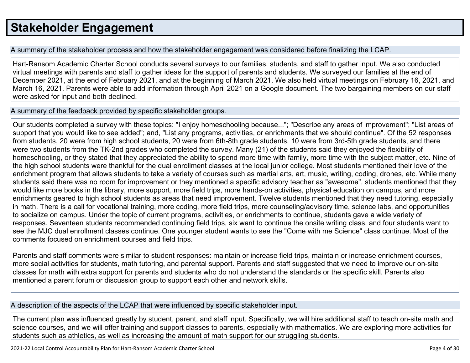# **Stakeholder Engagement**

A summary of the stakeholder process and how the stakeholder engagement was considered before finalizing the LCAP.

Hart-Ransom Academic Charter School conducts several surveys to our families, students, and staff to gather input. We also conducted virtual meetings with parents and staff to gather ideas for the support of parents and students. We surveyed our families at the end of December 2021, at the end of February 2021, and at the beginning of March 2021. We also held virtual meetings on February 16, 2021, and March 16, 2021. Parents were able to add information through April 2021 on a Google document. The two bargaining members on our staff were asked for input and both declined.

A summary of the feedback provided by specific stakeholder groups.

Our students completed a survey with these topics: "I enjoy homeschooling because..."; "Describe any areas of improvement"; "List areas of support that you would like to see added"; and, "List any programs, activities, or enrichments that we should continue". Of the 52 responses from students, 20 were from high school students, 20 were from 6th-8th grade students, 10 were from 3rd-5th grade students, and there were two students from the TK-2nd grades who completed the survey. Many (21) of the students said they enjoyed the flexibility of homeschooling, or they stated that they appreciated the ability to spend more time with family, more time with the subject matter, etc. Nine of the high school students were thankful for the dual enrollment classes at the local junior college. Most students mentioned their love of the enrichment program that allows students to take a variety of courses such as martial arts, art, music, writing, coding, drones, etc. While many students said there was no room for improvement or they mentioned a specific advisory teacher as "awesome", students mentioned that they would like more books in the library, more support, more field trips, more hands-on activities, physical education on campus, and more enrichments geared to high school students as areas that need improvement. Twelve students mentioned that they need tutoring, especially in math. There is a call for vocational training, more coding, more field trips, more counseling/advisory time, science labs, and opportunities to socialize on campus. Under the topic of current programs, activities, or enrichments to continue, students gave a wide variety of responses. Seventeen students recommended continuing field trips, six want to continue the onsite writing class, and four students want to see the MJC dual enrollment classes continue. One younger student wants to see the "Come with me Science" class continue. Most of the comments focused on enrichment courses and field trips.

Parents and staff comments were similar to student responses: maintain or increase field trips, maintain or increase enrichment courses, more social activities for students, math tutoring, and parental support. Parents and staff suggested that we need to improve our on-site classes for math with extra support for parents and students who do not understand the standards or the specific skill. Parents also mentioned a parent forum or discussion group to support each other and network skills.

A description of the aspects of the LCAP that were influenced by specific stakeholder input.

The current plan was influenced greatly by student, parent, and staff input. Specifically, we will hire additional staff to teach on-site math and science courses, and we will offer training and support classes to parents, especially with mathematics. We are exploring more activities for students such as athletics, as well as increasing the amount of math support for our struggling students.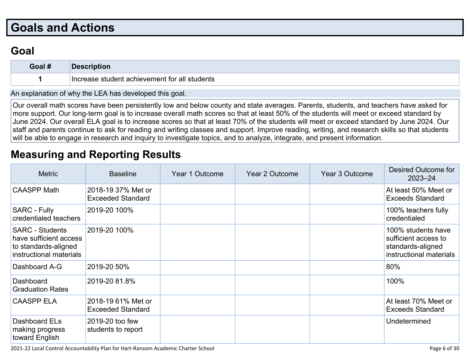# **Goals and Actions**

## **Goal**

| Goal # |                                                  |
|--------|--------------------------------------------------|
|        | student achievement for all students !<br>. מארי |

An explanation of why the LEA has developed this goal.

Our overall math scores have been persistently low and below county and state averages. Parents, students, and teachers have asked for more support. Our long-term goal is to increase overall math scores so that at least 50% of the students will meet or exceed standard by June 2024. Our overall ELA goal is to increase scores so that at least 70% of the students will meet or exceed standard by June 2024. Our staff and parents continue to ask for reading and writing classes and support. Improve reading, writing, and research skills so that students will be able to engage in research and inquiry to investigate topics, and to analyze, integrate, and present information.

## **Measuring and Reporting Results**

| <b>Metric</b>                                                                                       | <b>Baseline</b>                                | Year 1 Outcome | Year 2 Outcome | <b>Year 3 Outcome</b> | Desired Outcome for<br>$2023 - 24$                                                         |
|-----------------------------------------------------------------------------------------------------|------------------------------------------------|----------------|----------------|-----------------------|--------------------------------------------------------------------------------------------|
| <b>CAASPP Math</b>                                                                                  | 2018-19 37% Met or<br><b>Exceeded Standard</b> |                |                |                       | At least 50% Meet or<br><b>Exceeds Standard</b>                                            |
| <b>SARC - Fully</b><br>credentialed teachers                                                        | 2019-20 100%                                   |                |                |                       | 100% teachers fully<br>credentialed                                                        |
| <b>SARC - Students</b><br>have sufficient access<br>to standards-aligned<br>instructional materials | 2019-20 100%                                   |                |                |                       | 100% students have<br>sufficient access to<br>standards-aligned<br>instructional materials |
| Dashboard A-G                                                                                       | 2019-20 50%                                    |                |                |                       | 80%                                                                                        |
| Dashboard<br><b>Graduation Rates</b>                                                                | 2019-20 81.8%                                  |                |                |                       | 100%                                                                                       |
| <b>CAASPP ELA</b>                                                                                   | 2018-19 61% Met or<br><b>Exceeded Standard</b> |                |                |                       | At least 70% Meet or<br><b>Exceeds Standard</b>                                            |
| Dashboard ELs<br>making progress<br>toward English                                                  | 2019-20 too few<br>students to report          |                |                |                       | Undetermined                                                                               |

2021-22 Local Control Accountability Plan for Hart-Ransom Academic Charter School Page 6 of 30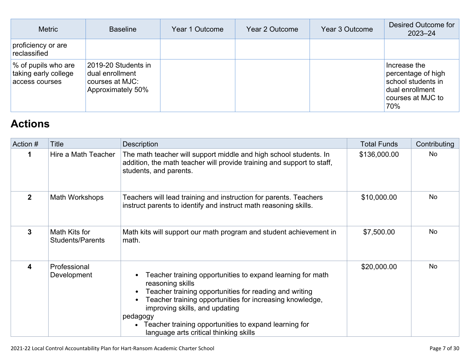| <b>Metric</b>                                                 | <b>Baseline</b>                                                                | Year 1 Outcome | Year 2 Outcome | Year 3 Outcome | Desired Outcome for<br>$2023 - 24$                                                                      |
|---------------------------------------------------------------|--------------------------------------------------------------------------------|----------------|----------------|----------------|---------------------------------------------------------------------------------------------------------|
| proficiency or are<br>reclassified                            |                                                                                |                |                |                |                                                                                                         |
| % of pupils who are<br>taking early college<br>access courses | 2019-20 Students in<br>dual enrollment<br>courses at MJC:<br>Approximately 50% |                |                |                | Increase the<br>percentage of high<br>school students in<br>dual enrollment<br>courses at MJC to<br>70% |

# **Actions**

| Action # | <b>Title</b>                             | <b>Description</b>                                                                                                                                                                                                                                                                                                                                    | <b>Total Funds</b> | Contributing |
|----------|------------------------------------------|-------------------------------------------------------------------------------------------------------------------------------------------------------------------------------------------------------------------------------------------------------------------------------------------------------------------------------------------------------|--------------------|--------------|
|          | Hire a Math Teacher                      | The math teacher will support middle and high school students. In<br>addition, the math teacher will provide training and support to staff,<br>students, and parents.                                                                                                                                                                                 | \$136,000.00       | No           |
| 2        | Math Workshops                           | Teachers will lead training and instruction for parents. Teachers<br>instruct parents to identify and instruct math reasoning skills.                                                                                                                                                                                                                 | \$10,000.00        | No           |
| 3        | Math Kits for<br><b>Students/Parents</b> | Math kits will support our math program and student achievement in<br>math.                                                                                                                                                                                                                                                                           | \$7,500.00         | No.          |
| 4        | Professional<br>Development              | Teacher training opportunities to expand learning for math<br>reasoning skills<br>Teacher training opportunities for reading and writing<br>Teacher training opportunities for increasing knowledge,<br>improving skills, and updating<br>pedagogy<br>Teacher training opportunities to expand learning for<br>language arts critical thinking skills | \$20,000.00        | No.          |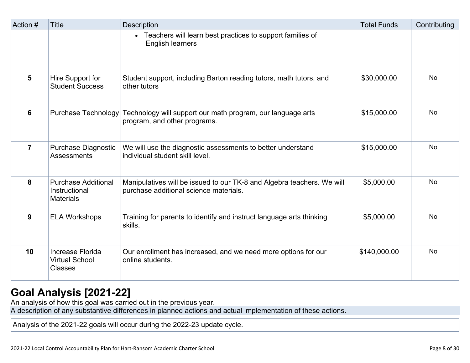| Action #       | <b>Title</b>                                                    | <b>Description</b>                                                                                               | <b>Total Funds</b> | Contributing |
|----------------|-----------------------------------------------------------------|------------------------------------------------------------------------------------------------------------------|--------------------|--------------|
|                |                                                                 | • Teachers will learn best practices to support families of<br>English learners                                  |                    |              |
| $5\phantom{1}$ | Hire Support for<br><b>Student Success</b>                      | Student support, including Barton reading tutors, math tutors, and<br>other tutors                               | \$30,000.00        | <b>No</b>    |
| 6              | <b>Purchase Technology</b>                                      | Technology will support our math program, our language arts<br>program, and other programs.                      | \$15,000.00        | No           |
| $\overline{7}$ | <b>Purchase Diagnostic</b><br><b>Assessments</b>                | We will use the diagnostic assessments to better understand<br>individual student skill level.                   | \$15,000.00        | <b>No</b>    |
| 8              | <b>Purchase Additional</b><br>Instructional<br><b>Materials</b> | Manipulatives will be issued to our TK-8 and Algebra teachers. We will<br>purchase additional science materials. | \$5,000.00         | <b>No</b>    |
| 9              | <b>ELA Workshops</b>                                            | Training for parents to identify and instruct language arts thinking<br>skills.                                  | \$5,000.00         | <b>No</b>    |
| 10             | Increase Florida<br><b>Virtual School</b><br><b>Classes</b>     | Our enrollment has increased, and we need more options for our<br>online students.                               | \$140,000.00       | <b>No</b>    |

## **Goal Analysis [2021-22]**

An analysis of how this goal was carried out in the previous year.

A description of any substantive differences in planned actions and actual implementation of these actions.

Analysis of the 2021-22 goals will occur during the 2022-23 update cycle.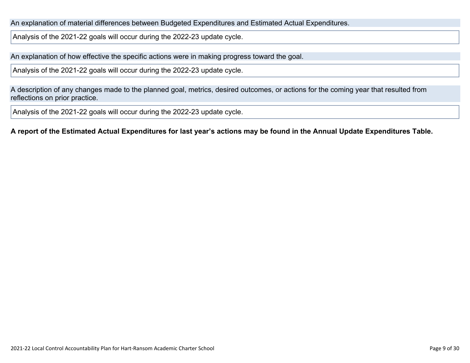An explanation of material differences between Budgeted Expenditures and Estimated Actual Expenditures.

Analysis of the 2021-22 goals will occur during the 2022-23 update cycle.

An explanation of how effective the specific actions were in making progress toward the goal.

Analysis of the 2021-22 goals will occur during the 2022-23 update cycle.

A description of any changes made to the planned goal, metrics, desired outcomes, or actions for the coming year that resulted from reflections on prior practice.

Analysis of the 2021-22 goals will occur during the 2022-23 update cycle.

A report of the Estimated Actual Expenditures for last year's actions may be found in the Annual Update Expenditures Table.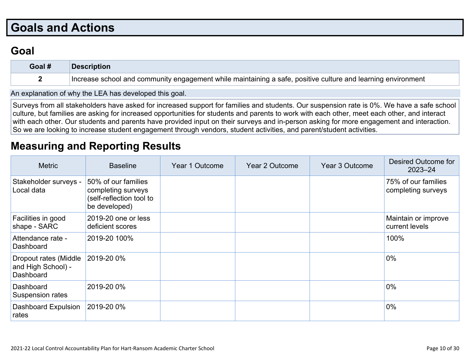# **Goals and Actions**

## **Goal**

| Goal # | Description                                                                                                  |
|--------|--------------------------------------------------------------------------------------------------------------|
|        | Increase school and community engagement while maintaining a safe, positive culture and learning environment |

An explanation of why the LEA has developed this goal.

Surveys from all stakeholders have asked for increased support for families and students. Our suspension rate is 0%. We have a safe school culture, but families are asking for increased opportunities for students and parents to work with each other, meet each other, and interact with each other. Our students and parents have provided input on their surveys and in-person asking for more engagement and interaction. So we are looking to increase student engagement through vendors, student activities, and parent/student activities.

## **Measuring and Reporting Results**

| <b>Metric</b>                                            | <b>Baseline</b>                                                                        | Year 1 Outcome | Year 2 Outcome | Year 3 Outcome | <b>Desired Outcome for</b><br>$2023 - 24$ |
|----------------------------------------------------------|----------------------------------------------------------------------------------------|----------------|----------------|----------------|-------------------------------------------|
| Stakeholder surveys -<br>Local data                      | 50% of our families<br>completing surveys<br>(self-reflection tool to<br>be developed) |                |                |                | 75% of our families<br>completing surveys |
| Facilities in good<br>shape - SARC                       | 2019-20 one or less<br>deficient scores                                                |                |                |                | Maintain or improve<br>current levels     |
| Attendance rate -<br>Dashboard                           | 2019-20 100%                                                                           |                |                |                | 100%                                      |
| Dropout rates (Middle<br>and High School) -<br>Dashboard | 2019-20 0%                                                                             |                |                |                | $0\%$                                     |
| Dashboard<br>Suspension rates                            | 2019-20 0%                                                                             |                |                |                | $0\%$                                     |
| <b>Dashboard Expulsion</b><br>rates                      | 2019-20 0%                                                                             |                |                |                | $0\%$                                     |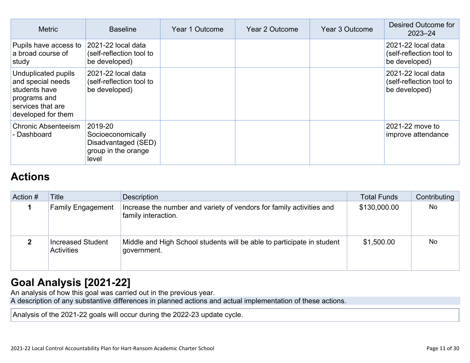| <b>Metric</b>                                                                                                        | <b>Baseline</b>                                                                     | Year 1 Outcome | Year 2 Outcome | Year 3 Outcome | Desired Outcome for<br>$2023 - 24$                              |
|----------------------------------------------------------------------------------------------------------------------|-------------------------------------------------------------------------------------|----------------|----------------|----------------|-----------------------------------------------------------------|
| Pupils have access to<br>a broad course of<br>study                                                                  | 2021-22 local data<br>(self-reflection tool to<br>be developed)                     |                |                |                | 2021-22 local data<br>(self-reflection tool to<br>be developed) |
| Unduplicated pupils<br>and special needs<br>students have<br>programs and<br>services that are<br>developed for them | 2021-22 local data<br>(self-reflection tool to<br>be developed)                     |                |                |                | 2021-22 local data<br>(self-reflection tool to<br>be developed) |
| <b>Chronic Absenteeism</b><br>- Dashboard                                                                            | 2019-20<br>Socioeconomically<br>Disadvantaged (SED)<br>group in the orange<br>level |                |                |                | 2021-22 move to<br>improve attendance                           |

## **Actions**

| Action # | Title                                  | <b>Description</b>                                                                          | <b>Total Funds</b> | Contributing |
|----------|----------------------------------------|---------------------------------------------------------------------------------------------|--------------------|--------------|
|          | <b>Family Engagement</b>               | Increase the number and variety of vendors for family activities and<br>family interaction. | \$130,000.00       | No           |
|          | Increased Student<br><b>Activities</b> | Middle and High School students will be able to participate in student<br>government.       | \$1,500.00         | <b>No</b>    |

## **Goal Analysis [2021-22]**

An analysis of how this goal was carried out in the previous year.

A description of any substantive differences in planned actions and actual implementation of these actions.

Analysis of the 2021-22 goals will occur during the 2022-23 update cycle.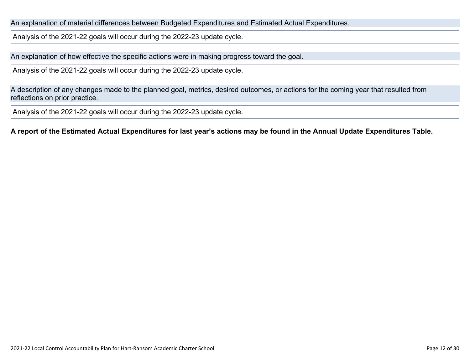An explanation of material differences between Budgeted Expenditures and Estimated Actual Expenditures.

Analysis of the 2021-22 goals will occur during the 2022-23 update cycle.

An explanation of how effective the specific actions were in making progress toward the goal.

Analysis of the 2021-22 goals will occur during the 2022-23 update cycle.

A description of any changes made to the planned goal, metrics, desired outcomes, or actions for the coming year that resulted from reflections on prior practice.

Analysis of the 2021-22 goals will occur during the 2022-23 update cycle.

A report of the Estimated Actual Expenditures for last year's actions may be found in the Annual Update Expenditures Table.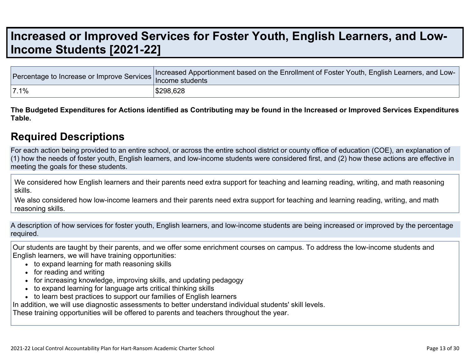# **Increased or Improved Services for Foster Youth, English Learners, and Low-Income Students [2021-22]**

|      | Tercentage to Increase or Improve Services Increased Apportionment based on the Enrollment of Foster Youth, English Learners, and Lux. |
|------|----------------------------------------------------------------------------------------------------------------------------------------|
| 7.1% | \$298,628                                                                                                                              |

The Budgeted Expenditures for Actions identified as Contributing may be found in the Increased or Improved Services Expenditures **Table.**

### **Required Descriptions**

For each action being provided to an entire school, or across the entire school district or county office of education (COE), an explanation of (1) how the needs of foster youth, English learners, and low-income students were considered first, and (2) how these actions are effective in meeting the goals for these students.

We considered how English learners and their parents need extra support for teaching and learning reading, writing, and math reasoning skills.

We also considered how low-income learners and their parents need extra support for teaching and learning reading, writing, and math reasoning skills.

A description of how services for foster youth, English learners, and low-income students are being increased or improved by the percentage required.

Our students are taught by their parents, and we offer some enrichment courses on campus. To address the low-income students and English learners, we will have training opportunities:

- to expand learning for math reasoning skills
- for reading and writing
- for increasing knowledge, improving skills, and updating pedagogy
- to expand learning for language arts critical thinking skills
- to learn best practices to support our families of English learners

In addition, we will use diagnostic assessments to better understand individual students' skill levels.

These training opportunities will be offered to parents and teachers throughout the year.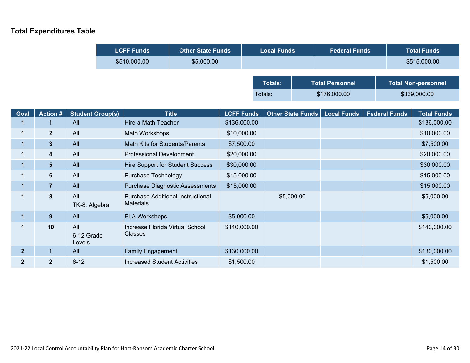### **Total Expenditures Table**

|              |                         | <b>LCFF Funds</b>           |  |                                                              | <b>Other State Funds</b>                |                   | <b>Local Funds</b> |                |                   | <b>Federal Funds</b>   |  | <b>Total Funds</b>   |                            |  |
|--------------|-------------------------|-----------------------------|--|--------------------------------------------------------------|-----------------------------------------|-------------------|--------------------|----------------|-------------------|------------------------|--|----------------------|----------------------------|--|
|              |                         |                             |  | \$510,000.00                                                 | \$5,000.00                              |                   |                    |                |                   |                        |  |                      | \$515,000.00               |  |
|              |                         |                             |  |                                                              |                                         |                   |                    |                |                   |                        |  |                      |                            |  |
|              |                         |                             |  |                                                              |                                         |                   |                    | <b>Totals:</b> |                   | <b>Total Personnel</b> |  |                      | <b>Total Non-personnel</b> |  |
|              |                         |                             |  |                                                              |                                         |                   | Totals:            |                |                   | \$176,000.00           |  |                      | \$339,000.00               |  |
|              |                         |                             |  |                                                              |                                         |                   |                    |                |                   |                        |  |                      |                            |  |
| Goal         | <b>Action#</b>          | <b>Student Group(s)</b>     |  |                                                              | <b>Title</b>                            | <b>LCFF Funds</b> |                    |                | Other State Funds | <b>Local Funds</b>     |  | <b>Federal Funds</b> | <b>Total Funds</b>         |  |
| 1            | 1                       | All                         |  | Hire a Math Teacher                                          |                                         | \$136,000.00      |                    |                |                   |                        |  |                      | \$136,000.00               |  |
| 1            | $\overline{2}$          | All                         |  |                                                              | Math Workshops                          |                   | \$10,000.00        |                |                   |                        |  |                      | \$10,000.00                |  |
| $\mathbf 1$  | $\overline{\mathbf{3}}$ | All                         |  | Math Kits for Students/Parents                               |                                         | \$7,500.00        |                    |                |                   |                        |  |                      | \$7,500.00                 |  |
| $\mathbf 1$  | 4                       | All                         |  | <b>Professional Development</b>                              |                                         | \$20,000.00       |                    |                |                   |                        |  |                      | \$20,000.00                |  |
| $\mathbf{1}$ | 5 <sup>5</sup>          | All                         |  |                                                              | <b>Hire Support for Student Success</b> |                   | \$30,000.00        |                |                   |                        |  |                      | \$30,000.00                |  |
| $\mathbf 1$  | $6\phantom{a}$          | All                         |  | <b>Purchase Technology</b>                                   |                                         | \$15,000.00       |                    |                |                   |                        |  |                      | \$15,000.00                |  |
| 1            | $\overline{7}$          | All                         |  |                                                              | <b>Purchase Diagnostic Assessments</b>  | \$15,000.00       |                    |                |                   |                        |  |                      | \$15,000.00                |  |
| $\mathbf 1$  | 8                       | All<br>TK-8; Algebra        |  | <b>Purchase Additional Instructional</b><br><b>Materials</b> |                                         |                   |                    |                | \$5,000.00        |                        |  |                      | \$5,000.00                 |  |
| $\mathbf{1}$ | 9                       | All                         |  | <b>ELA Workshops</b>                                         |                                         | \$5,000.00        |                    |                |                   |                        |  |                      | \$5,000.00                 |  |
| $\mathbf 1$  | 10                      | All<br>6-12 Grade<br>Levels |  | Increase Florida Virtual School<br><b>Classes</b>            |                                         | \$140,000.00      |                    |                |                   |                        |  |                      | \$140,000.00               |  |
| $\mathbf{2}$ | $\mathbf{1}$            | All                         |  | <b>Family Engagement</b>                                     |                                         | \$130,000.00      |                    |                |                   |                        |  |                      | \$130,000.00               |  |
| $\mathbf{2}$ | $\overline{2}$          | $6 - 12$                    |  | <b>Increased Student Activities</b>                          |                                         | \$1,500.00        |                    |                |                   |                        |  |                      | \$1,500.00                 |  |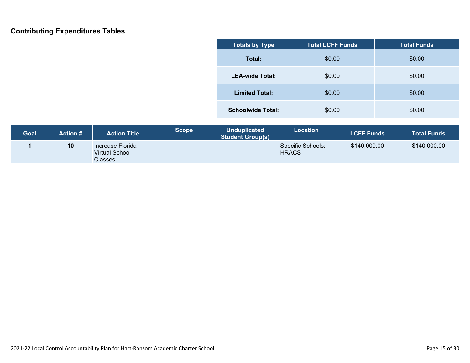### **Contributing Expenditures Tables**

| <b>Totals by Type</b>    | <b>Total LCFF Funds</b> | <b>Total Funds</b> |  |
|--------------------------|-------------------------|--------------------|--|
| Total:                   | \$0.00                  | \$0.00             |  |
| <b>LEA-wide Total:</b>   | \$0.00                  | \$0.00             |  |
| <b>Limited Total:</b>    | \$0.00                  | \$0.00             |  |
| <b>Schoolwide Total:</b> | \$0.00                  | \$0.00             |  |

| <b>Goal</b> | Action # | <b>Action Title</b>                                         | <b>Scope</b> | <b>Unduplicated</b><br><b>Student Group(s)</b> | Location                          | <b>LCFF Funds</b> | <b>Total Funds</b> |
|-------------|----------|-------------------------------------------------------------|--------------|------------------------------------------------|-----------------------------------|-------------------|--------------------|
|             | 10       | Increase Florida<br><b>Virtual School</b><br><b>Classes</b> |              |                                                | Specific Schools:<br><b>HRACS</b> | \$140,000.00      | \$140,000.00       |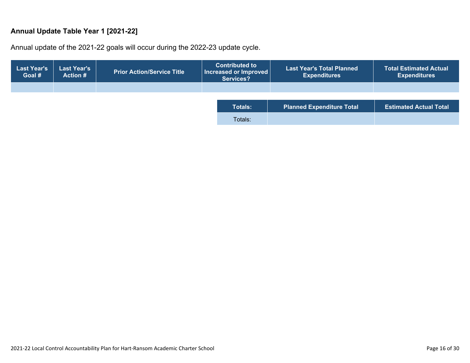#### **Annual Update Table Year 1 [2021-22]**

Annual update of the 2021-22 goals will occur during the 2022-23 update cycle.

| <b>Last Year's</b><br>Goal # | <b>Last Year's</b><br><b>Action #</b> | <b>Prior Action/Service Title</b> | <b>Contributed to</b><br><b>Last Year's Total Planned</b><br>$\mid$ Increased or Improved $\mid$<br><b>Expenditures</b><br>Services? |                                  | <b>Total Estimated Actual</b><br><b>Expenditures</b> |
|------------------------------|---------------------------------------|-----------------------------------|--------------------------------------------------------------------------------------------------------------------------------------|----------------------------------|------------------------------------------------------|
|                              |                                       |                                   |                                                                                                                                      |                                  |                                                      |
|                              |                                       |                                   | <b>Totals:</b>                                                                                                                       | <b>Planned Expenditure Total</b> | <b>Estimated Actual Total</b>                        |
|                              |                                       |                                   | Totals:                                                                                                                              |                                  |                                                      |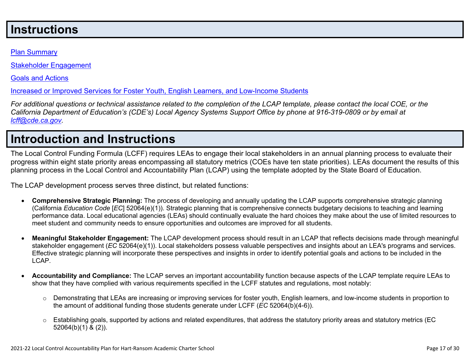# **Instructions**

#### Plan Summary

Stakeholder Engagement

Goals and Actions

Increased or Improved Services for Foster Youth, English Learners, and Low-Income Students

For additional questions or technical assistance related to the completion of the LCAP template, please contact the local COE, or the California Department of Education's (CDE's) Local Agency Systems Support Office by phone at 916-319-0809 or by email at *lcff@cde.ca.gov.*

# **Introduction and Instructions**

The Local Control Funding Formula (LCFF) requires LEAs to engage their local stakeholders in an annual planning process to evaluate their progress within eight state priority areas encompassing all statutory metrics (COEs have ten state priorities). LEAs document the results of this planning process in the Local Control and Accountability Plan (LCAP) using the template adopted by the State Board of Education.

The LCAP development process serves three distinct, but related functions:

- **Comprehensive Strategic Planning:** The process of developing and annually updating the LCAP supports comprehensive strategic planning (California *Education Code* [*EC*] 52064(e)(1)). Strategic planning that is comprehensive connects budgetary decisions to teaching and learning performance data. Local educational agencies (LEAs) should continually evaluate the hard choices they make about the use of limited resources to meet student and community needs to ensure opportunities and outcomes are improved for all students.
- **Meaningful Stakeholder Engagement:** The LCAP development process should result in an LCAP that reflects decisions made through meaningful stakeholder engagement (*EC* 52064(e)(1)). Local stakeholders possess valuable perspectives and insights about an LEA's programs and services. Effective strategic planning will incorporate these perspectives and insights in order to identify potential goals and actions to be included in the LCAP.
- **Accountability and Compliance:** The LCAP serves an important accountability function because aspects of the LCAP template require LEAs to show that they have complied with various requirements specified in the LCFF statutes and regulations, most notably:
	- $\circ$  Demonstrating that LEAs are increasing or improving services for foster youth, English learners, and low-income students in proportion to the amount of additional funding those students generate under LCFF (*EC* 52064(b)(4-6)).
	- $\circ$  Establishing goals, supported by actions and related expenditures, that address the statutory priority areas and statutory metrics (EC 52064(b)(1) & (2)).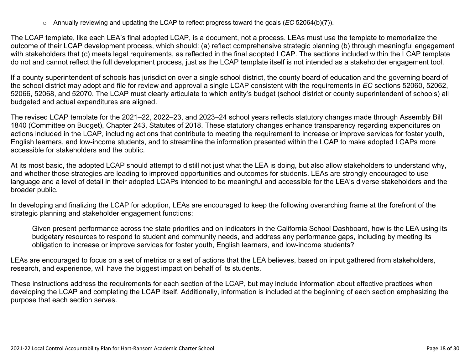o Annually reviewing and updating the LCAP to reflect progress toward the goals (*EC* 52064(b)(7)).

The LCAP template, like each LEA's final adopted LCAP, is a document, not a process. LEAs must use the template to memorialize the outcome of their LCAP development process, which should: (a) reflect comprehensive strategic planning (b) through meaningful engagement with stakeholders that (c) meets legal requirements, as reflected in the final adopted LCAP. The sections included within the LCAP template do not and cannot reflect the full development process, just as the LCAP template itself is not intended as a stakeholder engagement tool.

If a county superintendent of schools has jurisdiction over a single school district, the county board of education and the governing board of the school district may adopt and file for review and approval a single LCAP consistent with the requirements in *EC* sections 52060, 52062, 52066, 52068, and 52070. The LCAP must clearly articulate to which entity's budget (school district or county superintendent of schools) all budgeted and actual expenditures are aligned.

The revised LCAP template for the 2021–22, 2022–23, and 2023–24 school years reflects statutory changes made through Assembly Bill 1840 (Committee on Budget), Chapter 243, Statutes of 2018. These statutory changes enhance transparency regarding expenditures on actions included in the LCAP, including actions that contribute to meeting the requirement to increase or improve services for foster youth, English learners, and low-income students, and to streamline the information presented within the LCAP to make adopted LCAPs more accessible for stakeholders and the public.

At its most basic, the adopted LCAP should attempt to distill not just what the LEA is doing, but also allow stakeholders to understand why, and whether those strategies are leading to improved opportunities and outcomes for students. LEAs are strongly encouraged to use language and a level of detail in their adopted LCAPs intended to be meaningful and accessible for the LEA's diverse stakeholders and the broader public.

In developing and finalizing the LCAP for adoption, LEAs are encouraged to keep the following overarching frame at the forefront of the strategic planning and stakeholder engagement functions:

Given present performance across the state priorities and on indicators in the California School Dashboard, how is the LEA using its budgetary resources to respond to student and community needs, and address any performance gaps, including by meeting its obligation to increase or improve services for foster youth, English learners, and low-income students?

LEAs are encouraged to focus on a set of metrics or a set of actions that the LEA believes, based on input gathered from stakeholders, research, and experience, will have the biggest impact on behalf of its students.

These instructions address the requirements for each section of the LCAP, but may include information about effective practices when developing the LCAP and completing the LCAP itself. Additionally, information is included at the beginning of each section emphasizing the purpose that each section serves.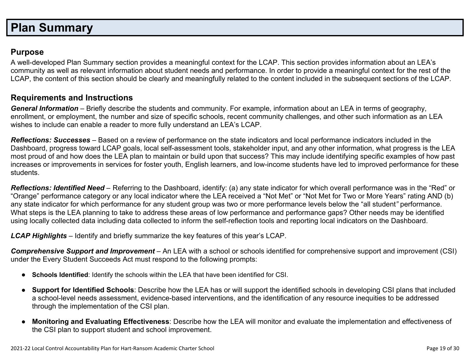# **Plan Summary**

### **Purpose**

A well-developed Plan Summary section provides a meaningful context for the LCAP. This section provides information about an LEA's community as well as relevant information about student needs and performance. In order to provide a meaningful context for the rest of the LCAP, the content of this section should be clearly and meaningfully related to the content included in the subsequent sections of the LCAP.

### **Requirements and Instructions**

*General Information* – Briefly describe the students and community. For example, information about an LEA in terms of geography, enrollment, or employment, the number and size of specific schools, recent community challenges, and other such information as an LEA wishes to include can enable a reader to more fully understand an LEA's LCAP.

*Reflections: Successes* – Based on a review of performance on the state indicators and local performance indicators included in the Dashboard, progress toward LCAP goals, local self-assessment tools, stakeholder input, and any other information, what progress is the LEA most proud of and how does the LEA plan to maintain or build upon that success? This may include identifying specific examples of how past increases or improvements in services for foster youth, English learners, and low-income students have led to improved performance for these students.

*Reflections: Identified Need* – Referring to the Dashboard, identify: (a) any state indicator for which overall performance was in the "Red" or "Orange" performance category or any local indicator where the LEA received a "Not Met" or "Not Met for Two or More Years" rating AND (b) any state indicator for which performance for any student group was two or more performance levels below the "all student*"* performance. What steps is the LEA planning to take to address these areas of low performance and performance gaps? Other needs may be identified using locally collected data including data collected to inform the self-reflection tools and reporting local indicators on the Dashboard.

*LCAP Highlights* – Identify and briefly summarize the key features of this year's LCAP.

*Comprehensive Support and Improvement* – An LEA with a school or schools identified for comprehensive support and improvement (CSI) under the Every Student Succeeds Act must respond to the following prompts:

- **Schools Identified**: Identify the schools within the LEA that have been identified for CSI.
- **Support for Identified Schools**: Describe how the LEA has or will support the identified schools in developing CSI plans that included a school-level needs assessment, evidence-based interventions, and the identification of any resource inequities to be addressed through the implementation of the CSI plan.
- **Monitoring and Evaluating Effectiveness**: Describe how the LEA will monitor and evaluate the implementation and effectiveness of the CSI plan to support student and school improvement.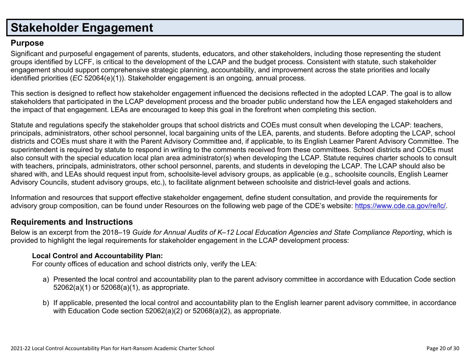# **Stakeholder Engagement**

### **Purpose**

Significant and purposeful engagement of parents, students, educators, and other stakeholders, including those representing the student groups identified by LCFF, is critical to the development of the LCAP and the budget process. Consistent with statute, such stakeholder engagement should support comprehensive strategic planning, accountability, and improvement across the state priorities and locally identified priorities (*EC* 52064(e)(1)). Stakeholder engagement is an ongoing, annual process.

This section is designed to reflect how stakeholder engagement influenced the decisions reflected in the adopted LCAP. The goal is to allow stakeholders that participated in the LCAP development process and the broader public understand how the LEA engaged stakeholders and the impact of that engagement. LEAs are encouraged to keep this goal in the forefront when completing this section.

Statute and regulations specify the stakeholder groups that school districts and COEs must consult when developing the LCAP: teachers, principals, administrators, other school personnel, local bargaining units of the LEA, parents, and students. Before adopting the LCAP, school districts and COEs must share it with the Parent Advisory Committee and, if applicable, to its English Learner Parent Advisory Committee. The superintendent is required by statute to respond in writing to the comments received from these committees. School districts and COEs must also consult with the special education local plan area administrator(s) when developing the LCAP. Statute requires charter schools to consult with teachers, principals, administrators, other school personnel, parents, and students in developing the LCAP. The LCAP should also be shared with, and LEAs should request input from, schoolsite-level advisory groups, as applicable (e.g., schoolsite councils, English Learner Advisory Councils, student advisory groups, etc.), to facilitate alignment between schoolsite and district-level goals and actions.

Information and resources that support effective stakeholder engagement, define student consultation, and provide the requirements for advisory group composition, can be found under Resources on the following web page of the CDE's website: https://www.cde.ca.gov/re/lc/.

### **Requirements and Instructions**

Below is an excerpt from the 2018–19 Guide for Annual Audits of K–12 Local Education Agencies and State Compliance Reporting, which is provided to highlight the legal requirements for stakeholder engagement in the LCAP development process:

#### **Local Control and Accountability Plan:**

For county offices of education and school districts only, verify the LEA:

- a) Presented the local control and accountability plan to the parent advisory committee in accordance with Education Code section 52062(a)(1) or 52068(a)(1), as appropriate.
- b) If applicable, presented the local control and accountability plan to the English learner parent advisory committee, in accordance with Education Code section 52062(a)(2) or 52068(a)(2), as appropriate.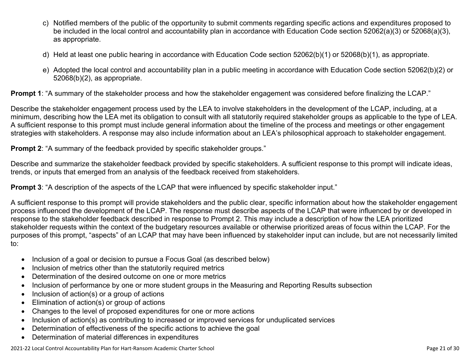- c) Notified members of the public of the opportunity to submit comments regarding specific actions and expenditures proposed to be included in the local control and accountability plan in accordance with Education Code section 52062(a)(3) or 52068(a)(3), as appropriate.
- d) Held at least one public hearing in accordance with Education Code section 52062(b)(1) or 52068(b)(1), as appropriate.
- e) Adopted the local control and accountability plan in a public meeting in accordance with Education Code section 52062(b)(2) or 52068(b)(2), as appropriate.

**Prompt 1**: "A summary of the stakeholder process and how the stakeholder engagement was considered before finalizing the LCAP."

Describe the stakeholder engagement process used by the LEA to involve stakeholders in the development of the LCAP, including, at a minimum, describing how the LEA met its obligation to consult with all statutorily required stakeholder groups as applicable to the type of LEA. A sufficient response to this prompt must include general information about the timeline of the process and meetings or other engagement strategies with stakeholders. A response may also include information about an LEA's philosophical approach to stakeholder engagement.

**Prompt 2:** "A summary of the feedback provided by specific stakeholder groups."

Describe and summarize the stakeholder feedback provided by specific stakeholders. A sufficient response to this prompt will indicate ideas, trends, or inputs that emerged from an analysis of the feedback received from stakeholders.

**Prompt 3:** "A description of the aspects of the LCAP that were influenced by specific stakeholder input."

A sufficient response to this prompt will provide stakeholders and the public clear, specific information about how the stakeholder engagement process influenced the development of the LCAP. The response must describe aspects of the LCAP that were influenced by or developed in response to the stakeholder feedback described in response to Prompt 2. This may include a description of how the LEA prioritized stakeholder requests within the context of the budgetary resources available or otherwise prioritized areas of focus within the LCAP. For the purposes of this prompt, "aspects" of an LCAP that may have been influenced by stakeholder input can include, but are not necessarily limited to:

- Inclusion of a goal or decision to pursue a Focus Goal (as described below)
- Inclusion of metrics other than the statutorily required metrics
- Determination of the desired outcome on one or more metrics
- Inclusion of performance by one or more student groups in the Measuring and Reporting Results subsection
- $\bullet$  Inclusion of action(s) or a group of actions
- Elimination of action(s) or group of actions
- Changes to the level of proposed expenditures for one or more actions
- Inclusion of action(s) as contributing to increased or improved services for unduplicated services
- Determination of effectiveness of the specific actions to achieve the goal
- Determination of material differences in expenditures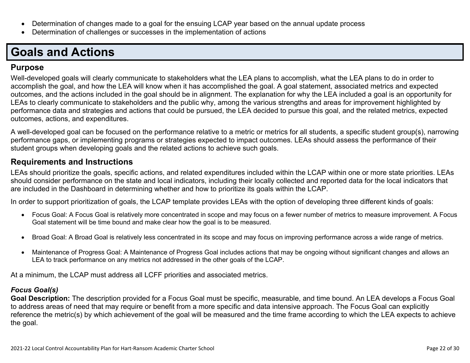- Determination of changes made to a goal for the ensuing LCAP year based on the annual update process
- Determination of challenges or successes in the implementation of actions

# **Goals and Actions**

### **Purpose**

Well-developed goals will clearly communicate to stakeholders what the LEA plans to accomplish, what the LEA plans to do in order to accomplish the goal, and how the LEA will know when it has accomplished the goal. A goal statement, associated metrics and expected outcomes, and the actions included in the goal should be in alignment. The explanation for why the LEA included a goal is an opportunity for LEAs to clearly communicate to stakeholders and the public why, among the various strengths and areas for improvement highlighted by performance data and strategies and actions that could be pursued, the LEA decided to pursue this goal, and the related metrics, expected outcomes, actions, and expenditures.

A well-developed goal can be focused on the performance relative to a metric or metrics for all students, a specific student group(s), narrowing performance gaps, or implementing programs or strategies expected to impact outcomes. LEAs should assess the performance of their student groups when developing goals and the related actions to achieve such goals.

### **Requirements and Instructions**

LEAs should prioritize the goals, specific actions, and related expenditures included within the LCAP within one or more state priorities. LEAs should consider performance on the state and local indicators, including their locally collected and reported data for the local indicators that are included in the Dashboard in determining whether and how to prioritize its goals within the LCAP.

In order to support prioritization of goals, the LCAP template provides LEAs with the option of developing three different kinds of goals:

- Focus Goal: A Focus Goal is relatively more concentrated in scope and may focus on a fewer number of metrics to measure improvement. A Focus Goal statement will be time bound and make clear how the goal is to be measured.
- Broad Goal: A Broad Goal is relatively less concentrated in its scope and may focus on improving performance across a wide range of metrics.
- Maintenance of Progress Goal: A Maintenance of Progress Goal includes actions that may be ongoing without significant changes and allows an LEA to track performance on any metrics not addressed in the other goals of the LCAP.

At a minimum, the LCAP must address all LCFF priorities and associated metrics.

### *Focus Goal(s)*

**Goal Description:** The description provided for a Focus Goal must be specific, measurable, and time bound. An LEA develops a Focus Goal to address areas of need that may require or benefit from a more specific and data intensive approach. The Focus Goal can explicitly reference the metric(s) by which achievement of the goal will be measured and the time frame according to which the LEA expects to achieve the goal.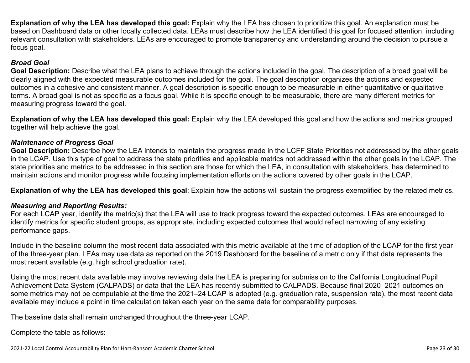**Explanation of why the LEA has developed this goal:** Explain why the LEA has chosen to prioritize this goal. An explanation must be based on Dashboard data or other locally collected data. LEAs must describe how the LEA identified this goal for focused attention, including relevant consultation with stakeholders. LEAs are encouraged to promote transparency and understanding around the decision to pursue a focus goal.

#### *Broad Goal*

**Goal Description:** Describe what the LEA plans to achieve through the actions included in the goal. The description of a broad goal will be clearly aligned with the expected measurable outcomes included for the goal. The goal description organizes the actions and expected outcomes in a cohesive and consistent manner. A goal description is specific enough to be measurable in either quantitative or qualitative terms. A broad goal is not as specific as a focus goal. While it is specific enough to be measurable, there are many different metrics for measuring progress toward the goal.

**Explanation of why the LEA has developed this goal:** Explain why the LEA developed this goal and how the actions and metrics grouped together will help achieve the goal.

#### *Maintenance of Progress Goal*

**Goal Description:** Describe how the LEA intends to maintain the progress made in the LCFF State Priorities not addressed by the other goals in the LCAP. Use this type of goal to address the state priorities and applicable metrics not addressed within the other goals in the LCAP. The state priorities and metrics to be addressed in this section are those for which the LEA, in consultation with stakeholders, has determined to maintain actions and monitor progress while focusing implementation efforts on the actions covered by other goals in the LCAP.

**Explanation of why the LEA has developed this goal**: Explain how the actions will sustain the progress exemplified by the related metrics.

#### *Measuring and Reporting Results:*

For each LCAP year, identify the metric(s) that the LEA will use to track progress toward the expected outcomes. LEAs are encouraged to identify metrics for specific student groups, as appropriate, including expected outcomes that would reflect narrowing of any existing performance gaps.

Include in the baseline column the most recent data associated with this metric available at the time of adoption of the LCAP for the first year of the three-year plan. LEAs may use data as reported on the 2019 Dashboard for the baseline of a metric only if that data represents the most recent available (e.g. high school graduation rate).

Using the most recent data available may involve reviewing data the LEA is preparing for submission to the California Longitudinal Pupil Achievement Data System (CALPADS) or data that the LEA has recently submitted to CALPADS. Because final 2020–2021 outcomes on some metrics may not be computable at the time the 2021–24 LCAP is adopted (e.g. graduation rate, suspension rate), the most recent data available may include a point in time calculation taken each year on the same date for comparability purposes.

The baseline data shall remain unchanged throughout the three-year LCAP.

Complete the table as follows: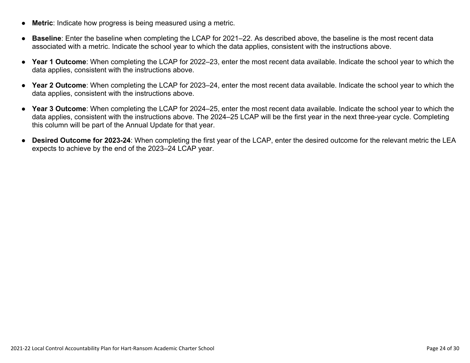- **Metric**: Indicate how progress is being measured using a metric.
- **Baseline**: Enter the baseline when completing the LCAP for 2021–22. As described above, the baseline is the most recent data associated with a metric. Indicate the school year to which the data applies, consistent with the instructions above.
- **Year 1 Outcome**: When completing the LCAP for 2022–23, enter the most recent data available. Indicate the school year to which the data applies, consistent with the instructions above.
- **Year 2 Outcome**: When completing the LCAP for 2023–24, enter the most recent data available. Indicate the school year to which the data applies, consistent with the instructions above.
- **Year 3 Outcome**: When completing the LCAP for 2024–25, enter the most recent data available. Indicate the school year to which the data applies, consistent with the instructions above. The 2024–25 LCAP will be the first year in the next three-year cycle. Completing this column will be part of the Annual Update for that year.
- **Desired Outcome for 2023-24**: When completing the first year of the LCAP, enter the desired outcome for the relevant metric the LEA expects to achieve by the end of the 2023–24 LCAP year.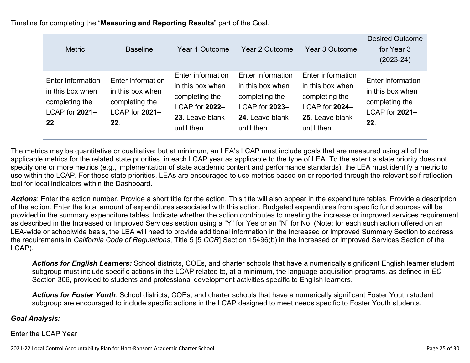Timeline for completing the "**Measuring and Reporting Results**" part of the Goal.

| <b>Metric</b>                                                                    | <b>Baseline</b>                                                                  | Year 1 Outcome                                                                                              | Year 2 Outcome                                                                                              | Year 3 Outcome                                                                                              | <b>Desired Outcome</b><br>for Year 3<br>$(2023-24)$                              |
|----------------------------------------------------------------------------------|----------------------------------------------------------------------------------|-------------------------------------------------------------------------------------------------------------|-------------------------------------------------------------------------------------------------------------|-------------------------------------------------------------------------------------------------------------|----------------------------------------------------------------------------------|
| Enter information<br>in this box when<br>completing the<br>LCAP for 2021-<br>22. | Enter information<br>in this box when<br>completing the<br>LCAP for 2021-<br>22. | Enter information<br>in this box when<br>completing the<br>LCAP for 2022-<br>23. Leave blank<br>until then. | Enter information<br>in this box when<br>completing the<br>LCAP for 2023-<br>24. Leave blank<br>until then. | Enter information<br>in this box when<br>completing the<br>LCAP for 2024-<br>25. Leave blank<br>until then. | Enter information<br>in this box when<br>completing the<br>LCAP for 2021-<br>22. |

The metrics may be quantitative or qualitative; but at minimum, an LEA's LCAP must include goals that are measured using all of the applicable metrics for the related state priorities, in each LCAP year as applicable to the type of LEA. To the extent a state priority does not specify one or more metrics (e.g., implementation of state academic content and performance standards), the LEA must identify a metric to use within the LCAP. For these state priorities, LEAs are encouraged to use metrics based on or reported through the relevant self-reflection tool for local indicators within the Dashboard.

*Actions*: Enter the action number. Provide a short title for the action. This title will also appear in the expenditure tables. Provide a description of the action. Enter the total amount of expenditures associated with this action. Budgeted expenditures from specific fund sources will be provided in the summary expenditure tables. Indicate whether the action contributes to meeting the increase or improved services requirement as described in the Increased or Improved Services section using a "Y" for Yes or an "N" for No. (Note: for each such action offered on an LEA-wide or schoolwide basis, the LEA will need to provide additional information in the Increased or Improved Summary Section to address the requirements in *California Code of Regulations*, Title 5 [5 *CCR*] Section 15496(b) in the Increased or Improved Services Section of the LCAP).

*Actions for English Learners:* School districts, COEs, and charter schools that have a numerically significant English learner student subgroup must include specific actions in the LCAP related to, at a minimum, the language acquisition programs, as defined in *EC* Section 306, provided to students and professional development activities specific to English learners.

*Actions for Foster Youth*: School districts, COEs, and charter schools that have a numerically significant Foster Youth student subgroup are encouraged to include specific actions in the LCAP designed to meet needs specific to Foster Youth students.

#### *Goal Analysis:*

Enter the LCAP Year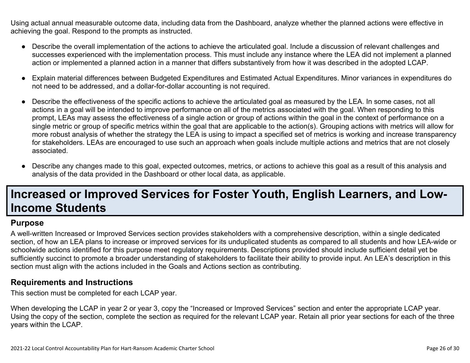Using actual annual measurable outcome data, including data from the Dashboard, analyze whether the planned actions were effective in achieving the goal. Respond to the prompts as instructed.

- Describe the overall implementation of the actions to achieve the articulated goal. Include a discussion of relevant challenges and successes experienced with the implementation process. This must include any instance where the LEA did not implement a planned action or implemented a planned action in a manner that differs substantively from how it was described in the adopted LCAP.
- Explain material differences between Budgeted Expenditures and Estimated Actual Expenditures. Minor variances in expenditures do not need to be addressed, and a dollar-for-dollar accounting is not required.
- Describe the effectiveness of the specific actions to achieve the articulated goal as measured by the LEA. In some cases, not all actions in a goal will be intended to improve performance on all of the metrics associated with the goal. When responding to this prompt, LEAs may assess the effectiveness of a single action or group of actions within the goal in the context of performance on a single metric or group of specific metrics within the goal that are applicable to the action(s). Grouping actions with metrics will allow for more robust analysis of whether the strategy the LEA is using to impact a specified set of metrics is working and increase transparency for stakeholders. LEAs are encouraged to use such an approach when goals include multiple actions and metrics that are not closely associated.
- Describe any changes made to this goal, expected outcomes, metrics, or actions to achieve this goal as a result of this analysis and analysis of the data provided in the Dashboard or other local data, as applicable.

# **Increased or Improved Services for Foster Youth, English Learners, and Low-Income Students**

#### **Purpose**

A well-written Increased or Improved Services section provides stakeholders with a comprehensive description, within a single dedicated section, of how an LEA plans to increase or improved services for its unduplicated students as compared to all students and how LEA-wide or schoolwide actions identified for this purpose meet regulatory requirements. Descriptions provided should include sufficient detail yet be sufficiently succinct to promote a broader understanding of stakeholders to facilitate their ability to provide input. An LEA's description in this section must align with the actions included in the Goals and Actions section as contributing.

#### **Requirements and Instructions**

This section must be completed for each LCAP year.

When developing the LCAP in year 2 or year 3, copy the "Increased or Improved Services" section and enter the appropriate LCAP year. Using the copy of the section, complete the section as required for the relevant LCAP year. Retain all prior year sections for each of the three years within the LCAP.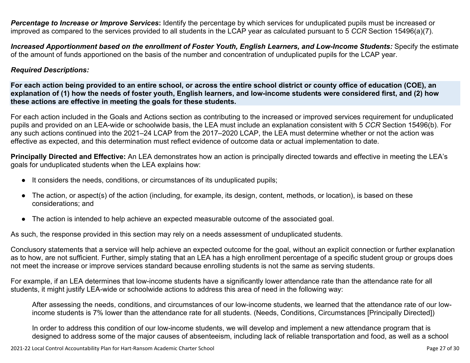*Percentage to Increase or Improve Services***:** Identify the percentage by which services for unduplicated pupils must be increased or improved as compared to the services provided to all students in the LCAP year as calculated pursuant to 5 *CCR* Section 15496(a)(7).

Increased Apportionment based on the enrollment of Foster Youth, English Learners, and Low-Income Students: Specify the estimate of the amount of funds apportioned on the basis of the number and concentration of unduplicated pupils for the LCAP year.

#### *Required Descriptions:*

For each action being provided to an entire school, or across the entire school district or county office of education (COE), an explanation of (1) how the needs of foster youth, English learners, and low-income students were considered first, and (2) how **these actions are effective in meeting the goals for these students.**

For each action included in the Goals and Actions section as contributing to the increased or improved services requirement for unduplicated pupils and provided on an LEA-wide or schoolwide basis, the LEA must include an explanation consistent with 5 *CCR* Section 15496(b). For any such actions continued into the 2021–24 LCAP from the 2017–2020 LCAP, the LEA must determine whether or not the action was effective as expected, and this determination must reflect evidence of outcome data or actual implementation to date.

**Principally Directed and Effective:** An LEA demonstrates how an action is principally directed towards and effective in meeting the LEA's goals for unduplicated students when the LEA explains how:

- It considers the needs, conditions, or circumstances of its unduplicated pupils;
- The action, or aspect(s) of the action (including, for example, its design, content, methods, or location), is based on these considerations; and
- The action is intended to help achieve an expected measurable outcome of the associated goal.

As such, the response provided in this section may rely on a needs assessment of unduplicated students.

Conclusory statements that a service will help achieve an expected outcome for the goal, without an explicit connection or further explanation as to how, are not sufficient. Further, simply stating that an LEA has a high enrollment percentage of a specific student group or groups does not meet the increase or improve services standard because enrolling students is not the same as serving students.

For example, if an LEA determines that low-income students have a significantly lower attendance rate than the attendance rate for all students, it might justify LEA-wide or schoolwide actions to address this area of need in the following way:

After assessing the needs, conditions, and circumstances of our low-income students, we learned that the attendance rate of our lowincome students is 7% lower than the attendance rate for all students. (Needs, Conditions, Circumstances [Principally Directed])

In order to address this condition of our low-income students, we will develop and implement a new attendance program that is designed to address some of the major causes of absenteeism, including lack of reliable transportation and food, as well as a school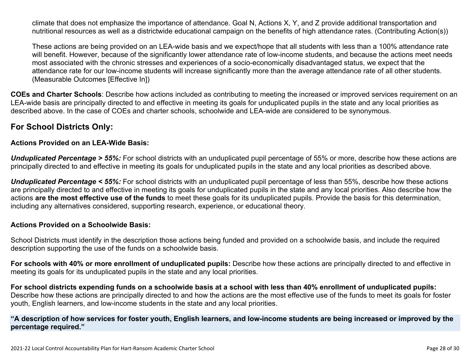climate that does not emphasize the importance of attendance. Goal N, Actions X, Y, and Z provide additional transportation and nutritional resources as well as a districtwide educational campaign on the benefits of high attendance rates. (Contributing Action(s))

These actions are being provided on an LEA-wide basis and we expect/hope that all students with less than a 100% attendance rate will benefit. However, because of the significantly lower attendance rate of low-income students, and because the actions meet needs most associated with the chronic stresses and experiences of a socio-economically disadvantaged status, we expect that the attendance rate for our low-income students will increase significantly more than the average attendance rate of all other students. (Measurable Outcomes [Effective In])

**COEs and Charter Schools**: Describe how actions included as contributing to meeting the increased or improved services requirement on an LEA-wide basis are principally directed to and effective in meeting its goals for unduplicated pupils in the state and any local priorities as described above. In the case of COEs and charter schools, schoolwide and LEA-wide are considered to be synonymous.

### **For School Districts Only:**

#### **Actions Provided on an LEA-Wide Basis:**

*Unduplicated Percentage > 55%:* For school districts with an unduplicated pupil percentage of 55% or more, describe how these actions are principally directed to and effective in meeting its goals for unduplicated pupils in the state and any local priorities as described above.

*Unduplicated Percentage < 55%:* For school districts with an unduplicated pupil percentage of less than 55%, describe how these actions are principally directed to and effective in meeting its goals for unduplicated pupils in the state and any local priorities. Also describe how the actions **are the most effective use of the funds** to meet these goals for its unduplicated pupils. Provide the basis for this determination, including any alternatives considered, supporting research, experience, or educational theory.

#### **Actions Provided on a Schoolwide Basis:**

School Districts must identify in the description those actions being funded and provided on a schoolwide basis, and include the required description supporting the use of the funds on a schoolwide basis.

**For schools with 40% or more enrollment of unduplicated pupils:** Describe how these actions are principally directed to and effective in meeting its goals for its unduplicated pupils in the state and any local priorities.

For school districts expending funds on a schoolwide basis at a school with less than 40% enrollment of unduplicated pupils: Describe how these actions are principally directed to and how the actions are the most effective use of the funds to meet its goals for foster youth, English learners, and low-income students in the state and any local priorities.

#### "A description of how services for foster youth, English learners, and low-income students are being increased or improved by the **percentage required."**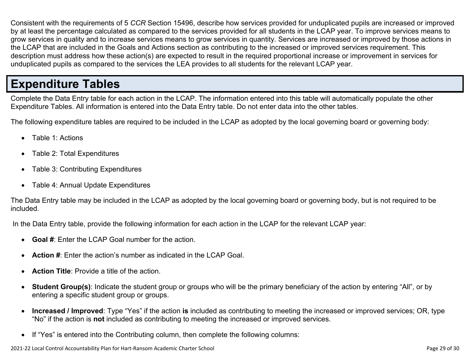Consistent with the requirements of 5 *CCR* Section 15496, describe how services provided for unduplicated pupils are increased or improved by at least the percentage calculated as compared to the services provided for all students in the LCAP year. To improve services means to grow services in quality and to increase services means to grow services in quantity. Services are increased or improved by those actions in the LCAP that are included in the Goals and Actions section as contributing to the increased or improved services requirement. This description must address how these action(s) are expected to result in the required proportional increase or improvement in services for unduplicated pupils as compared to the services the LEA provides to all students for the relevant LCAP year.

# **Expenditure Tables**

Complete the Data Entry table for each action in the LCAP. The information entered into this table will automatically populate the other Expenditure Tables. All information is entered into the Data Entry table. Do not enter data into the other tables.

The following expenditure tables are required to be included in the LCAP as adopted by the local governing board or governing body:

- Table 1: Actions
- Table 2: Total Expenditures
- Table 3: Contributing Expenditures
- Table 4: Annual Update Expenditures

The Data Entry table may be included in the LCAP as adopted by the local governing board or governing body, but is not required to be included.

In the Data Entry table, provide the following information for each action in the LCAP for the relevant LCAP year:

- **Goal #**: Enter the LCAP Goal number for the action.
- **Action #**: Enter the action's number as indicated in the LCAP Goal.
- **Action Title**: Provide a title of the action.
- **Student Group(s)**: Indicate the student group or groups who will be the primary beneficiary of the action by entering "All", or by entering a specific student group or groups.
- **Increased / Improved**: Type "Yes" if the action **is** included as contributing to meeting the increased or improved services; OR, type "No" if the action is **not** included as contributing to meeting the increased or improved services.
- If "Yes" is entered into the Contributing column, then complete the following columns: